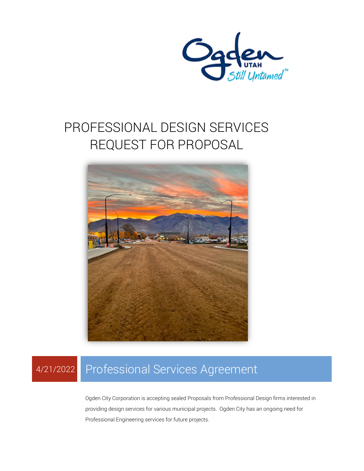

# PROFESSIONAL DESIGN SERVICES REQUEST FOR PROPOSAL



# 4/21/2022 Professional Services Agreement

Ogden City Corporation is accepting sealed Proposals from Professional Design firms interested in providing design services for various municipal projects. Ogden City has an ongoing need for Professional Engineering services for future projects.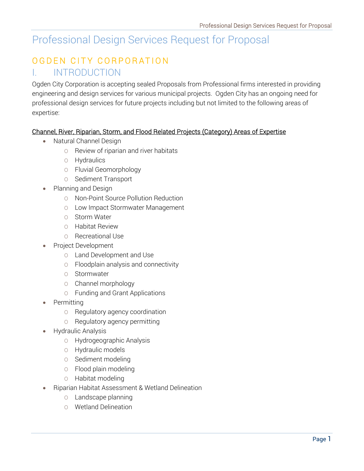# Professional Design Services Request for Proposal

## OGDEN CITY CORPORATION I. INTRODUCTION

Ogden City Corporation is accepting sealed Proposals from Professional firms interested in providing engineering and design services for various municipal projects. Ogden City has an ongoing need for professional design services for future projects including but not limited to the following areas of expertise:

#### Channel, River, Riparian, Storm, and Flood Related Projects (Category) Areas of Expertise

- Natural Channel Design
	- O Review of riparian and river habitats
	- O Hydraulics
	- O Fluvial Geomorphology
	- O Sediment Transport
- Planning and Design
	- O Non-Point Source Pollution Reduction
	- O Low Impact Stormwater Management
	- O Storm Water
	- O Habitat Review
	- O Recreational Use
- Project Development
	- O Land Development and Use
	- O Floodplain analysis and connectivity
	- O Stormwater
	- O Channel morphology
	- O Funding and Grant Applications
- Permitting
	- O Regulatory agency coordination
	- O Regulatory agency permitting
- Hydraulic Analysis
	- O Hydrogeographic Analysis
	- O Hydraulic models
	- O Sediment modeling
	- O Flood plain modeling
	- O Habitat modeling
- Riparian Habitat Assessment & Wetland Delineation
	- O Landscape planning
	- O Wetland Delineation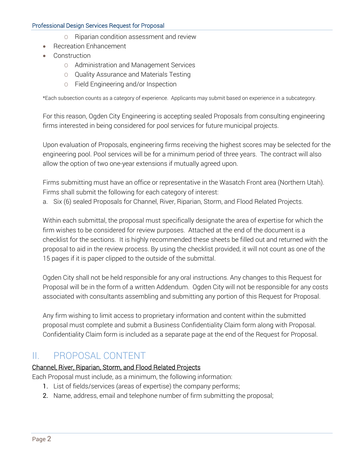#### Professional Design Services Request for Proposal

- O Riparian condition assessment and review
- Recreation Enhancement
- Construction
	- O Administration and Management Services
	- O Quality Assurance and Materials Testing
	- O Field Engineering and/or Inspection

\*Each subsection counts as a category of experience. Applicants may submit based on experience in a subcategory.

For this reason, Ogden City Engineering is accepting sealed Proposals from consulting engineering firms interested in being considered for pool services for future municipal projects.

Upon evaluation of Proposals, engineering firms receiving the highest scores may be selected for the engineering pool. Pool services will be for a minimum period of three years. The contract will also allow the option of two one-year extensions if mutually agreed upon.

Firms submitting must have an office or representative in the Wasatch Front area (Northern Utah). Firms shall submit the following for each category of interest:

a. Six (6) sealed Proposals for Channel, River, Riparian, Storm, and Flood Related Projects.

Within each submittal, the proposal must specifically designate the area of expertise for which the firm wishes to be considered for review purposes. Attached at the end of the document is a checklist for the sections. It is highly recommended these sheets be filled out and returned with the proposal to aid in the review process. By using the checklist provided, it will not count as one of the 15 pages if it is paper clipped to the outside of the submittal.

Ogden City shall not be held responsible for any oral instructions. Any changes to this Request for Proposal will be in the form of a written Addendum. Ogden City will not be responsible for any costs associated with consultants assembling and submitting any portion of this Request for Proposal.

Any firm wishing to limit access to proprietary information and content within the submitted proposal must complete and submit a Business Confidentiality Claim form along with Proposal. Confidentiality Claim form is included as a separate page at the end of the Request for Proposal.

### II. PROPOSAL CONTENT

#### Channel, River, Riparian, Storm, and Flood Related Projects

Each Proposal must include, as a minimum, the following information:

- 1. List of fields/services (areas of expertise) the company performs;
- 2. Name, address, email and telephone number of firm submitting the proposal;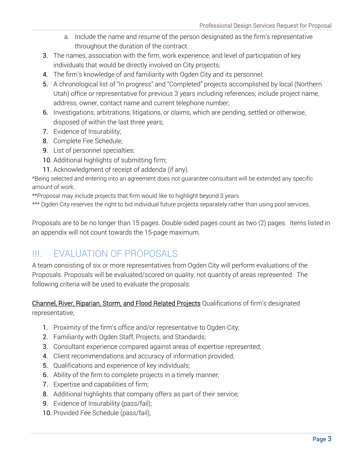- a. Include the name and resume of the person designated as the firm's representative throughout the duration of the contract.
- 3. The names, association with the firm, work experience, and level of participation of key individuals that would be directly involved on City projects;
- 4. The firm's knowledge of and familiarity with Ogden City and its personnel;
- 5. A chronological list of "In progress" and "Completed" projects accomplished by local (Northern Utah) office or representative for previous 3 years including references; include project name, address, owner, contact name and current telephone number;
- 6. Investigations, arbitrations, litigations, or claims, which are pending, settled or otherwise, disposed of within the last three years;
- 7. Evidence of Insurability;
- 8. Complete Fee Schedule;
- 9. List of personnel specialties;
- 10. Additional highlights of submitting firm;
- 11. Acknowledgment of receipt of addenda (if any).

\*Being selected and entering into an agreement does not guarantee consultant will be extended any specific amount of work.

\*\*Proposal may include projects that firm would like to highlight beyond 3 years.

\*\*\* Ogden City reserves the right to bid individual future projects separately rather than using pool services.

Proposals are to be no longer than 15 pages. Double sided pages count as two (2) pages. Items listed in an appendix will not count towards the 15-page maximum.

## III. EVALUATION OF PROPOSALS

A team consisting of six or more representatives from Ogden City will perform evaluations of the Proposals. Proposals will be evaluated/scored on quality, not quantity of areas represented. The following criteria will be used to evaluate the proposals:

Channel, River, Riparian, Storm, and Flood Related Projects Qualifications of firm's designated representative;

- 1. Proximity of the firm's office and/or representative to Ogden City;
- 2. Familiarity with Ogden Staff, Projects, and Standards;
- 3. Consultant experience compared against areas of expertise represented;
- 4. Client recommendations and accuracy of information provided;
- 5. Qualifications and experience of key individuals;
- 6. Ability of the firm to complete projects in a timely manner;
- 7. Expertise and capabilities of firm;
- 8. Additional highlights that company offers as part of their service;
- 9. Evidence of Insurability (pass/fail);
- 10. Provided Fee Schedule (pass/fail);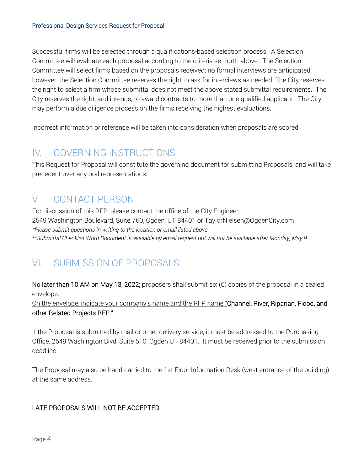Successful firms will be selected through a qualifications-based selection process. A Selection Committee will evaluate each proposal according to the criteria set forth above. The Selection Committee will select firms based on the proposals received; no formal interviews are anticipated; however, the Selection Committee reserves the right to ask for interviews as needed. The City reserves the right to select a firm whose submittal does not meet the above stated submittal requirements. The City reserves the right, and intends, to award contracts to more than one qualified applicant. The City may perform a due diligence process on the firms receiving the highest evaluations.

Incorrect information or reference will be taken into consideration when proposals are scored.

## IV. GOVERNING INSTRUCTIONS

This Request for Proposal will constitute the governing document for submitting Proposals, and will take precedent over any oral representations.

## V. CONTACT PERSON

For discussion of this RFP, please contact the office of the City Engineer: 2549 Washington Boulevard, Suite 760, Ogden, UT 84401 or TaylorNielsen@OgdenCity.com *\*Please submit questions in writing to the location or email listed above. \*\*Submittal Checklist Word Document is available by email request but will not be available after Monday, May 9.* 

## VI. SUBMISSION OF PROPOSALS

No later than 10 AM on May 13, 2022; proposers shall submit six (6) copies of the proposal in a sealed envelope.

On the envelope, indicate your company's name and the RFP name "Channel, River, Riparian, Flood, and other Related Projects RFP."

If the Proposal is submitted by mail or other delivery service, it must be addressed to the Purchasing Office, 2549 Washington Blvd, Suite 510, Ogden UT 84401. It must be received prior to the submission deadline.

The Proposal may also be hand-carried to the 1st Floor Information Desk (west entrance of the building) at the same address.

#### LATE PROPOSALS WILL NOT BE ACCEPTED.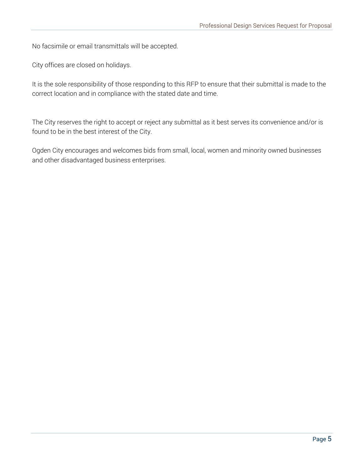No facsimile or email transmittals will be accepted.

City offices are closed on holidays.

It is the sole responsibility of those responding to this RFP to ensure that their submittal is made to the correct location and in compliance with the stated date and time.

The City reserves the right to accept or reject any submittal as it best serves its convenience and/or is found to be in the best interest of the City.

Ogden City encourages and welcomes bids from small, local, women and minority owned businesses and other disadvantaged business enterprises.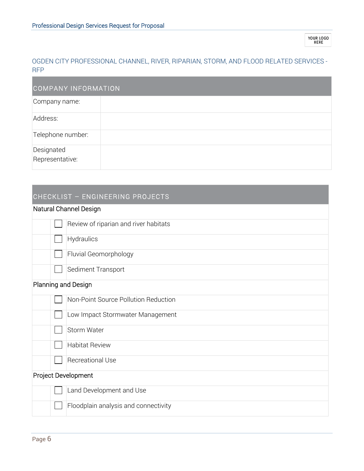#### OGDEN CITY PROFESSIONAL CHANNEL, RIVER, RIPARIAN, STORM, AND FLOOD RELATED SERVICES - RFP

| <b>COMPANY INFORMATION</b>    |  |  |
|-------------------------------|--|--|
| Company name:                 |  |  |
| Address:                      |  |  |
| Telephone number:             |  |  |
| Designated<br>Representative: |  |  |

### CHECKLIST – ENGINEERING PROJECTS

#### Natural Channel Design

|                     | Review of riparian and river habitats |  |
|---------------------|---------------------------------------|--|
|                     | Hydraulics                            |  |
|                     | Fluvial Geomorphology                 |  |
|                     | Sediment Transport                    |  |
| Planning and Design |                                       |  |
|                     | Non-Point Source Pollution Reduction  |  |
|                     | Low Impact Stormwater Management      |  |
|                     | Storm Water                           |  |
|                     | <b>Habitat Review</b>                 |  |
|                     | <b>Recreational Use</b>               |  |
| Project Development |                                       |  |
|                     | Land Development and Use              |  |
|                     | Floodplain analysis and connectivity  |  |